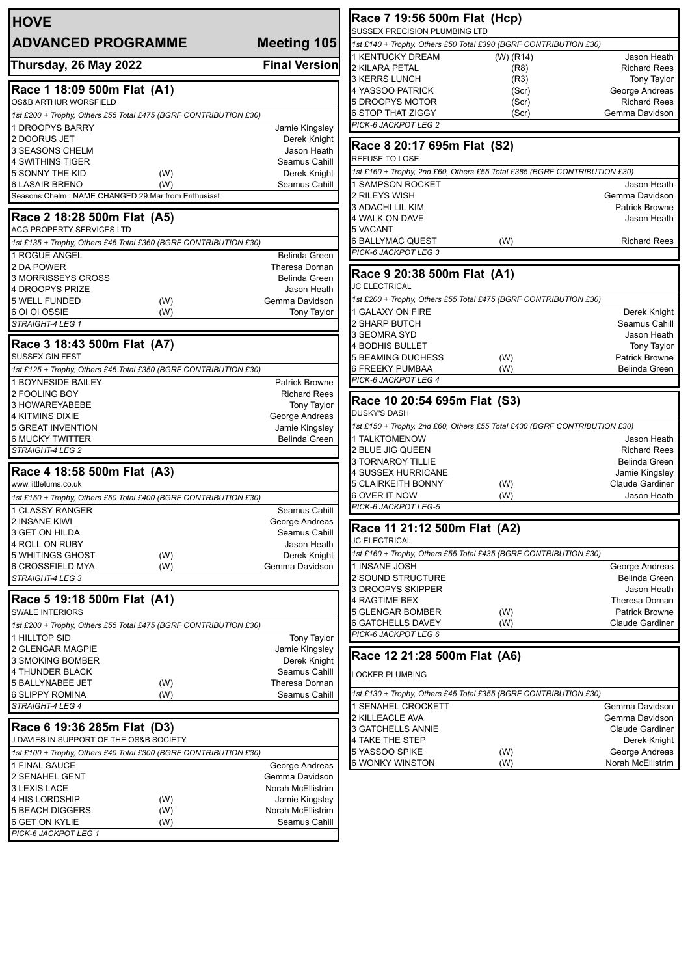| <b>HOVE</b>                                                      |                                     | Race 7 19:56 500m Flat (Hcp)<br>SUSSEX PRECISION PLUMBING LTD   |
|------------------------------------------------------------------|-------------------------------------|-----------------------------------------------------------------|
| <b>ADVANCED PROGRAMME</b>                                        | Meeting 105                         | 1st £140 + Trophy, Others £50 Total £390 (BGRF                  |
|                                                                  |                                     | 1 KENTUCKY DREAM<br>$(W)$ (R <sup><math>\cdot</math></sup>      |
| Thursday, 26 May 2022                                            | <b>Final Version</b>                | 2 KILARA PETAL<br>(R                                            |
|                                                                  |                                     | (R)<br>3 KERRS LUNCH                                            |
| Race 1 18:09 500m Flat (A1)                                      |                                     | 4 YASSOO PATRICK<br>(S <sub>c</sub> )                           |
| OS&B ARTHUR WORSFIELD                                            |                                     | (S <sub>c</sub> )<br>5 DROOPYS MOTOR                            |
| 1st £200 + Trophy, Others £55 Total £475 (BGRF CONTRIBUTION £30) |                                     | <b>6 STOP THAT ZIGGY</b><br>(So<br>PICK-6 JACKPOT LEG 2         |
| 1 DROOPYS BARRY                                                  | Jamie Kingsley                      |                                                                 |
| 2 DOORUS JET<br>3 SEASONS CHELM                                  | Derek Knight<br>Jason Heath         | Race 8 20:17 695m Flat (S2)                                     |
| 4 SWITHINS TIGER                                                 | Seamus Cahill                       | <b>REFUSE TO LOSE</b>                                           |
| 5 SONNY THE KID<br>(W)                                           | Derek Knight                        | 1st £160 + Trophy, 2nd £60, Others £55 Total £38                |
| 6 LASAIR BRENO<br>(W)                                            | Seamus Cahill                       | <b>1 SAMPSON ROCKET</b>                                         |
| Seasons Chelm: NAME CHANGED 29.Mar from Enthusiast               |                                     | 2 RILEYS WISH                                                   |
|                                                                  |                                     | 3 ADACHI LIL KIM                                                |
| Race 2 18:28 500m Flat (A5)<br>ACG PROPERTY SERVICES LTD         |                                     | 4 WALK ON DAVE<br>5 VACANT                                      |
| 1st £135 + Trophy, Others £45 Total £360 (BGRF CONTRIBUTION £30) |                                     | 6 BALLYMAC QUEST<br>(W)                                         |
|                                                                  | Belinda Green                       | PICK-6 JACKPOT LEG 3                                            |
| 1 ROGUE ANGEL<br>2 DA POWER                                      | Theresa Dornan                      |                                                                 |
| 3 MORRISSEYS CROSS                                               | Belinda Green                       | Race 9 20:38 500m Flat (A1)                                     |
| 4 DROOPYS PRIZE                                                  | Jason Heath                         | <b>JC ELECTRICAL</b>                                            |
| <b>5 WELL FUNDED</b><br>(W)                                      | Gemma Davidson                      | 1st £200 + Trophy, Others £55 Total £475 (BGRF                  |
| 6 OI OI OSSIE<br>(W)                                             | Tony Taylor                         | 1 GALAXY ON FIRE                                                |
| STRAIGHT-4 LEG 1                                                 |                                     | 2 SHARP BUTCH                                                   |
| Race 3 18:43 500m Flat (A7)                                      |                                     | 3 SEOMRA SYD                                                    |
| <b>SUSSEX GIN FEST</b>                                           |                                     | 4 BODHIS BULLET<br>5 BEAMING DUCHESS                            |
| 1st £125 + Trophy, Others £45 Total £350 (BGRF CONTRIBUTION £30) |                                     | (W)<br>6 FREEKY PUMBAA<br>(W)                                   |
| 1 BOYNESIDE BAILEY                                               | <b>Patrick Browne</b>               | PICK-6 JACKPOT LEG 4                                            |
| 2 FOOLING BOY                                                    | <b>Richard Rees</b>                 |                                                                 |
| 3 HOWAREYABEBE                                                   | <b>Tony Taylor</b>                  | Race 10 20:54 695m Flat (S3)                                    |
| 4 KITMINS DIXIE                                                  | George Andreas                      | <b>DUSKY'S DASH</b>                                             |
| 5 GREAT INVENTION                                                | Jamie Kingsley                      | 1st £150 + Trophy, 2nd £60, Others £55 Total £43                |
| <b>6 MUCKY TWITTER</b>                                           | Belinda Green                       | 1 TALKTOMENOW                                                   |
| STRAIGHT-4 LEG 2                                                 |                                     | 2 BLUE JIG QUEEN<br><b>3 TORNAROY TILLIE</b>                    |
| Race 4 18:58 500m Flat (A3)                                      |                                     | 4 SUSSEX HURRICANE                                              |
| www.littletums.co.uk                                             |                                     | 5 CLAIRKEITH BONNY<br>(W)                                       |
| 1st £150 + Trophy, Others £50 Total £400 (BGRF CONTRIBUTION £30) |                                     | 6 OVER IT NOW<br>(W)                                            |
| <b>1 CLASSY RANGER</b>                                           | Seamus Cahill                       | PICK-6 JACKPOT LEG-5                                            |
| 2 INSANE KIWI                                                    | George Andreas                      |                                                                 |
| 3 GET ON HILDA                                                   | Seamus Cahill                       | Race 11 21:12 500m Flat (A2)<br><b>JC ELECTRICAL</b>            |
| 4 ROLL ON RUBY                                                   | Jason Heath                         |                                                                 |
| 5 WHITINGS GHOST<br>(W)                                          | Derek Knight<br>Gemma Davidson      | 1st £160 + Trophy, Others £55 Total £435 (BGRF<br>1 INSANE JOSH |
| 6 CROSSFIELD MYA<br>(W)<br>STRAIGHT-4 LEG 3                      |                                     | 2 SOUND STRUCTURE                                               |
|                                                                  |                                     | 3 DROOPYS SKIPPER                                               |
| Race 5 19:18 500m Flat (A1)                                      |                                     | 4 RAGTIME BEX                                                   |
| SWALE INTERIORS                                                  |                                     | 5 GLENGAR BOMBER<br>(W)                                         |
| 1st £200 + Trophy, Others £55 Total £475 (BGRF CONTRIBUTION £30) |                                     | 6 GATCHELLS DAVEY<br>(W)                                        |
| 1 HILLTOP SID                                                    | Tony Taylor                         | PICK-6 JACKPOT LEG 6                                            |
| 2 GLENGAR MAGPIE                                                 | Jamie Kingsley                      | Race 12 21:28 500m Flat (A6)                                    |
| 3 SMOKING BOMBER                                                 | Derek Knight                        |                                                                 |
| 4 THUNDER BLACK                                                  | Seamus Cahill                       | LOCKER PLUMBING                                                 |
| 5 BALLYNABEE JET<br>(W)<br>6 SLIPPY ROMINA                       | Theresa Dornan<br>Seamus Cahill     | 1st £130 + Trophy, Others £45 Total £355 (BGRF                  |
| (W)<br>STRAIGHT-4 LEG 4                                          |                                     | 1 SENAHEL CROCKETT                                              |
|                                                                  |                                     | 2 KILLEACLE AVA                                                 |
| Race 6 19:36 285m Flat (D3)                                      |                                     | 3 GATCHELLS ANNIE                                               |
| J DAVIES IN SUPPORT OF THE OS&B SOCIETY                          |                                     | 4 TAKE THE STEP                                                 |
| 1st £100 + Trophy, Others £40 Total £300 (BGRF CONTRIBUTION £30) |                                     | 5 YASSOO SPIKE<br>(W)                                           |
| 1 FINAL SAUCE                                                    | George Andreas                      | <b>6 WONKY WINSTON</b><br>(W)                                   |
| 2 SENAHEL GENT                                                   | Gemma Davidson                      |                                                                 |
| 3 LEXIS LACE                                                     | Norah McEllistrim                   |                                                                 |
| 4 HIS LORDSHIP<br>(W)<br>5 BEACH DIGGERS                         | Jamie Kingsley<br>Norah McEllistrim |                                                                 |
| (W)<br>6 GET ON KYLIE<br>(W)                                     | Seamus Cahill                       |                                                                 |
| PICK-6 JACKPOT LEG 1                                             |                                     |                                                                 |
|                                                                  |                                     |                                                                 |

| 1st £140 + Trophy, Others £50 Total £390 (BGRF CONTRIBUTION £30)                                                                                  |            |                                     |
|---------------------------------------------------------------------------------------------------------------------------------------------------|------------|-------------------------------------|
| 1 KENTUCKY DREAM                                                                                                                                  | (W) (R14)  | Jason Heath                         |
| 2 KILARA PETAL                                                                                                                                    | (R8)       | <b>Richard Rees</b>                 |
| 3 KERRS LUNCH                                                                                                                                     | (R3)       | Tony Taylor                         |
| 4 YASSOO PATRICK                                                                                                                                  | (Scr)      | George Andreas                      |
| 5 DROOPYS MOTOR                                                                                                                                   | (Scr)      | <b>Richard Rees</b>                 |
| 6 STOP THAT ZIGGY                                                                                                                                 | (Scr)      | Gemma Davidson                      |
| PICK-6 JACKPOT LEG 2                                                                                                                              |            |                                     |
|                                                                                                                                                   |            |                                     |
| Race 8 20:17 695m Flat (S2)                                                                                                                       |            |                                     |
| REFUSE TO LOSE                                                                                                                                    |            |                                     |
|                                                                                                                                                   |            |                                     |
| 1st £160 + Trophy, 2nd £60, Others £55 Total £385 (BGRF CONTRIBUTION £30)                                                                         |            |                                     |
| 1 SAMPSON ROCKET                                                                                                                                  |            | Jason Heath                         |
| 2 RILEYS WISH                                                                                                                                     |            | Gemma Davidson                      |
| 3 ADACHI LIL KIM                                                                                                                                  |            | <b>Patrick Browne</b>               |
| 4 WALK ON DAVE                                                                                                                                    |            | Jason Heath                         |
| 5 VACANT                                                                                                                                          |            |                                     |
| 6 BALLYMAC QUEST                                                                                                                                  | (W)        | <b>Richard Rees</b>                 |
| PICK-6 JACKPOT LEG 3                                                                                                                              |            |                                     |
|                                                                                                                                                   |            |                                     |
| Race 9 20:38 500m Flat (A1)                                                                                                                       |            |                                     |
| <b>JC ELECTRICAL</b>                                                                                                                              |            |                                     |
| 1st £200 + Trophy, Others £55 Total £475 (BGRF CONTRIBUTION £30)                                                                                  |            |                                     |
| 1 GALAXY ON FIRE                                                                                                                                  |            | Derek Knight                        |
| 2 SHARP BUTCH                                                                                                                                     |            | Seamus Cahill                       |
|                                                                                                                                                   |            |                                     |
| 3 SEOMRA SYD                                                                                                                                      |            | Jason Heath                         |
| 4 BODHIS BULLET                                                                                                                                   |            | <b>Tony Taylor</b>                  |
| 5 BEAMING DUCHESS                                                                                                                                 | (W)        | <b>Patrick Browne</b>               |
| 6 FREEKY PUMBAA                                                                                                                                   | (W)        | Belinda Green                       |
| PICK-6 JACKPOT LEG 4                                                                                                                              |            |                                     |
| Race 10 20:54 695m Flat (S3)                                                                                                                      |            |                                     |
|                                                                                                                                                   |            |                                     |
| DUSKY'S DASH                                                                                                                                      |            |                                     |
|                                                                                                                                                   |            |                                     |
| 1st £150 + Trophy, 2nd £60, Others £55 Total £430 (BGRF CONTRIBUTION £30)                                                                         |            |                                     |
| 1 TALKTOMENOW                                                                                                                                     |            | Jason Heath                         |
| 2 BLUE JIG QUEEN                                                                                                                                  |            | <b>Richard Rees</b>                 |
| 3 TORNAROY TILLIE                                                                                                                                 |            | Belinda Green                       |
| 4 SUSSEX HURRICANE                                                                                                                                |            | Jamie Kingsley                      |
| 5 CLAIRKEITH BONNY                                                                                                                                | (W)        | <b>Claude Gardiner</b>              |
| 6 OVER IT NOW                                                                                                                                     | (W)        | Jason Heath                         |
| PICK-6 JACKPOT LEG-5                                                                                                                              |            |                                     |
|                                                                                                                                                   |            |                                     |
| Race 11 21:12 500m Flat (A2)                                                                                                                      |            |                                     |
| <b>JC ELECTRICAL</b>                                                                                                                              |            |                                     |
| 1st £160 + Trophy, Others £55 Total £435 (BGRF CONTRIBUTION £30)                                                                                  |            |                                     |
|                                                                                                                                                   |            |                                     |
| 1 INSANE JOSH                                                                                                                                     |            | George Andreas                      |
| 2 SOUND STRUCTURE                                                                                                                                 |            | Belinda Green                       |
| 3 DROOPYS SKIPPER                                                                                                                                 |            | Jason Heath                         |
|                                                                                                                                                   |            | Theresa Dornan                      |
|                                                                                                                                                   | (W)        | <b>Patrick Browne</b>               |
| <b>4 RAGTIME BEX</b><br>5 GLENGAR BOMBER<br>6 GATCHELLS DAVEY                                                                                     | (W)        | Claude Gardiner                     |
| PICK-6 JACKPOT LEG 6                                                                                                                              |            |                                     |
|                                                                                                                                                   |            |                                     |
| Race 12 21:28 500m Flat (A6)                                                                                                                      |            |                                     |
| <b>LOCKER PLUMBING</b>                                                                                                                            |            |                                     |
|                                                                                                                                                   |            |                                     |
|                                                                                                                                                   |            |                                     |
|                                                                                                                                                   |            | Gemma Davidson                      |
|                                                                                                                                                   |            | Gemma Davidson                      |
|                                                                                                                                                   |            | <b>Claude Gardiner</b>              |
| 1st £130 + Trophy, Others £45 Total £355 (BGRF CONTRIBUTION £30)<br>1 SENAHEL CROCKETT<br>2 KILLEACLE AVA<br>3 GATCHELLS ANNIE<br>4 TAKE THE STEP |            | Derek Knight                        |
| 5 YASSOO SPIKE<br>6 WONKY WINSTON                                                                                                                 | (W)<br>(W) | George Andreas<br>Norah McEllistrim |